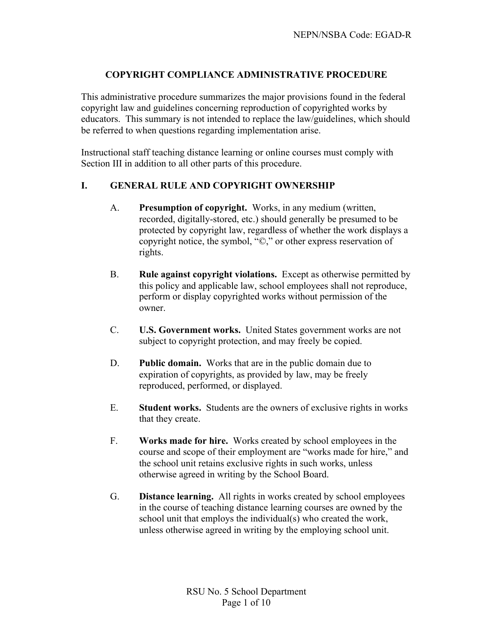# **COPYRIGHT COMPLIANCE ADMINISTRATIVE PROCEDURE**

This administrative procedure summarizes the major provisions found in the federal copyright law and guidelines concerning reproduction of copyrighted works by educators. This summary is not intended to replace the law/guidelines, which should be referred to when questions regarding implementation arise.

Instructional staff teaching distance learning or online courses must comply with Section III in addition to all other parts of this procedure.

#### **I. GENERAL RULE AND COPYRIGHT OWNERSHIP**

- A. **Presumption of copyright.** Works, in any medium (written, recorded, digitally-stored, etc.) should generally be presumed to be protected by copyright law, regardless of whether the work displays a copyright notice, the symbol, "©," or other express reservation of rights.
- B. **Rule against copyright violations.** Except as otherwise permitted by this policy and applicable law, school employees shall not reproduce, perform or display copyrighted works without permission of the owner.
- C. **U.S. Government works.** United States government works are not subject to copyright protection, and may freely be copied.
- D. **Public domain.** Works that are in the public domain due to expiration of copyrights, as provided by law, may be freely reproduced, performed, or displayed.
- E. **Student works.** Students are the owners of exclusive rights in works that they create.
- F. **Works made for hire.** Works created by school employees in the course and scope of their employment are "works made for hire," and the school unit retains exclusive rights in such works, unless otherwise agreed in writing by the School Board.
- G. **Distance learning.** All rights in works created by school employees in the course of teaching distance learning courses are owned by the school unit that employs the individual(s) who created the work, unless otherwise agreed in writing by the employing school unit.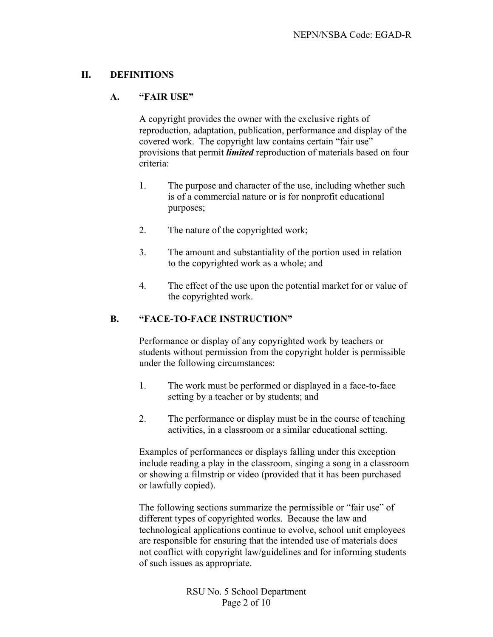#### **II. DEFINITIONS**

#### **A. "FAIR USE"**

A copyright provides the owner with the exclusive rights of reproduction, adaptation, publication, performance and display of the covered work. The copyright law contains certain "fair use" provisions that permit *limited* reproduction of materials based on four criteria:

- 1. The purpose and character of the use, including whether such is of a commercial nature or is for nonprofit educational purposes;
- 2. The nature of the copyrighted work;
- 3. The amount and substantiality of the portion used in relation to the copyrighted work as a whole; and
- 4. The effect of the use upon the potential market for or value of the copyrighted work.

### **B. "FACE-TO-FACE INSTRUCTION"**

Performance or display of any copyrighted work by teachers or students without permission from the copyright holder is permissible under the following circumstances:

- 1. The work must be performed or displayed in a face-to-face setting by a teacher or by students; and
- 2. The performance or display must be in the course of teaching activities, in a classroom or a similar educational setting.

Examples of performances or displays falling under this exception include reading a play in the classroom, singing a song in a classroom or showing a filmstrip or video (provided that it has been purchased or lawfully copied).

The following sections summarize the permissible or "fair use" of different types of copyrighted works. Because the law and technological applications continue to evolve, school unit employees are responsible for ensuring that the intended use of materials does not conflict with copyright law/guidelines and for informing students of such issues as appropriate.

> RSU No. 5 School Department Page 2 of 10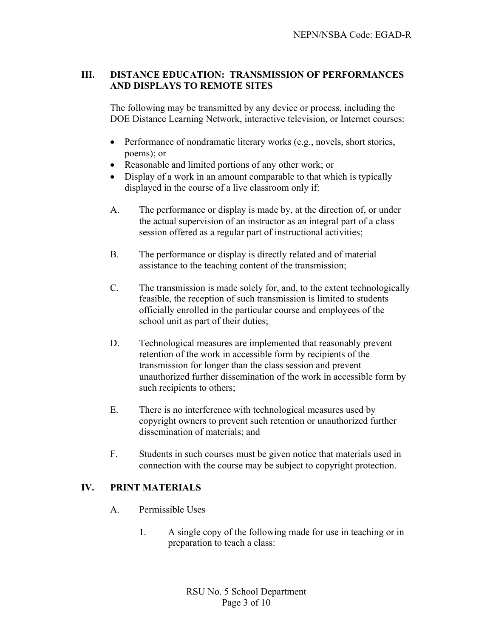# **III. DISTANCE EDUCATION: TRANSMISSION OF PERFORMANCES AND DISPLAYS TO REMOTE SITES**

The following may be transmitted by any device or process, including the DOE Distance Learning Network, interactive television, or Internet courses:

- Performance of nondramatic literary works (e.g., novels, short stories, poems); or
- Reasonable and limited portions of any other work; or
- Display of a work in an amount comparable to that which is typically displayed in the course of a live classroom only if:
- A. The performance or display is made by, at the direction of, or under the actual supervision of an instructor as an integral part of a class session offered as a regular part of instructional activities;
- B. The performance or display is directly related and of material assistance to the teaching content of the transmission;
- C. The transmission is made solely for, and, to the extent technologically feasible, the reception of such transmission is limited to students officially enrolled in the particular course and employees of the school unit as part of their duties;
- D. Technological measures are implemented that reasonably prevent retention of the work in accessible form by recipients of the transmission for longer than the class session and prevent unauthorized further dissemination of the work in accessible form by such recipients to others;
- E. There is no interference with technological measures used by copyright owners to prevent such retention or unauthorized further dissemination of materials; and
- F. Students in such courses must be given notice that materials used in connection with the course may be subject to copyright protection.

# **IV. PRINT MATERIALS**

- A. Permissible Uses
	- 1. A single copy of the following made for use in teaching or in preparation to teach a class: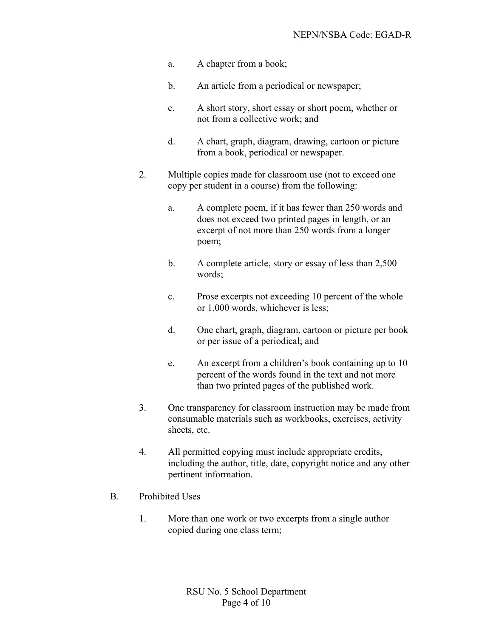- a. A chapter from a book;
- b. An article from a periodical or newspaper;
- c. A short story, short essay or short poem, whether or not from a collective work; and
- d. A chart, graph, diagram, drawing, cartoon or picture from a book, periodical or newspaper.
- 2. Multiple copies made for classroom use (not to exceed one copy per student in a course) from the following:
	- a. A complete poem, if it has fewer than 250 words and does not exceed two printed pages in length, or an excerpt of not more than 250 words from a longer poem;
	- b. A complete article, story or essay of less than 2,500 words;
	- c. Prose excerpts not exceeding 10 percent of the whole or 1,000 words, whichever is less;
	- d. One chart, graph, diagram, cartoon or picture per book or per issue of a periodical; and
	- e. An excerpt from a children's book containing up to 10 percent of the words found in the text and not more than two printed pages of the published work.
- 3. One transparency for classroom instruction may be made from consumable materials such as workbooks, exercises, activity sheets, etc.
- 4. All permitted copying must include appropriate credits, including the author, title, date, copyright notice and any other pertinent information.
- B. Prohibited Uses
	- 1. More than one work or two excerpts from a single author copied during one class term;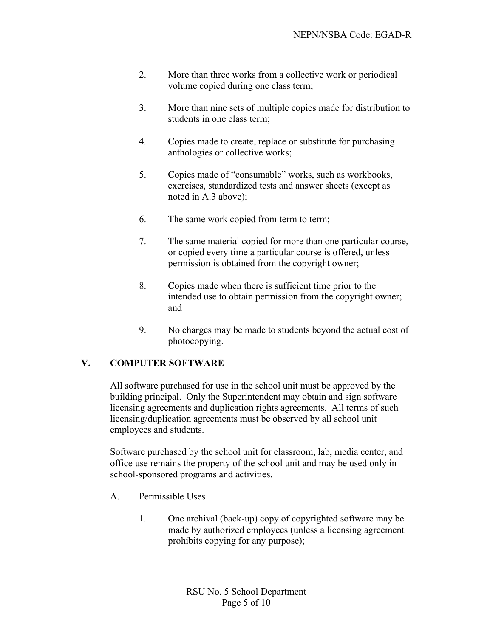- 2. More than three works from a collective work or periodical volume copied during one class term;
- 3. More than nine sets of multiple copies made for distribution to students in one class term;
- 4. Copies made to create, replace or substitute for purchasing anthologies or collective works;
- 5. Copies made of "consumable" works, such as workbooks, exercises, standardized tests and answer sheets (except as noted in A.3 above);
- 6. The same work copied from term to term;
- 7. The same material copied for more than one particular course, or copied every time a particular course is offered, unless permission is obtained from the copyright owner;
- 8. Copies made when there is sufficient time prior to the intended use to obtain permission from the copyright owner; and
- 9. No charges may be made to students beyond the actual cost of photocopying.

# **V. COMPUTER SOFTWARE**

All software purchased for use in the school unit must be approved by the building principal. Only the Superintendent may obtain and sign software licensing agreements and duplication rights agreements. All terms of such licensing/duplication agreements must be observed by all school unit employees and students.

Software purchased by the school unit for classroom, lab, media center, and office use remains the property of the school unit and may be used only in school-sponsored programs and activities.

- A. Permissible Uses
	- 1. One archival (back-up) copy of copyrighted software may be made by authorized employees (unless a licensing agreement prohibits copying for any purpose);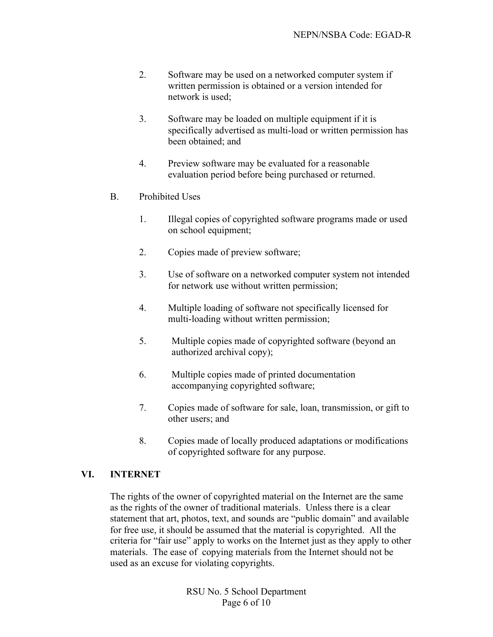- 2. Software may be used on a networked computer system if written permission is obtained or a version intended for network is used;
- 3. Software may be loaded on multiple equipment if it is specifically advertised as multi-load or written permission has been obtained; and
- 4. Preview software may be evaluated for a reasonable evaluation period before being purchased or returned.
- B. Prohibited Uses
	- 1. Illegal copies of copyrighted software programs made or used on school equipment;
	- 2. Copies made of preview software;
	- 3. Use of software on a networked computer system not intended for network use without written permission;
	- 4. Multiple loading of software not specifically licensed for multi-loading without written permission;
	- 5. Multiple copies made of copyrighted software (beyond an authorized archival copy);
	- 6. Multiple copies made of printed documentation accompanying copyrighted software;
	- 7. Copies made of software for sale, loan, transmission, or gift to other users; and
	- 8. Copies made of locally produced adaptations or modifications of copyrighted software for any purpose.

#### **VI. INTERNET**

The rights of the owner of copyrighted material on the Internet are the same as the rights of the owner of traditional materials. Unless there is a clear statement that art, photos, text, and sounds are "public domain" and available for free use, it should be assumed that the material is copyrighted. All the criteria for "fair use" apply to works on the Internet just as they apply to other materials. The ease of copying materials from the Internet should not be used as an excuse for violating copyrights.

> RSU No. 5 School Department Page 6 of 10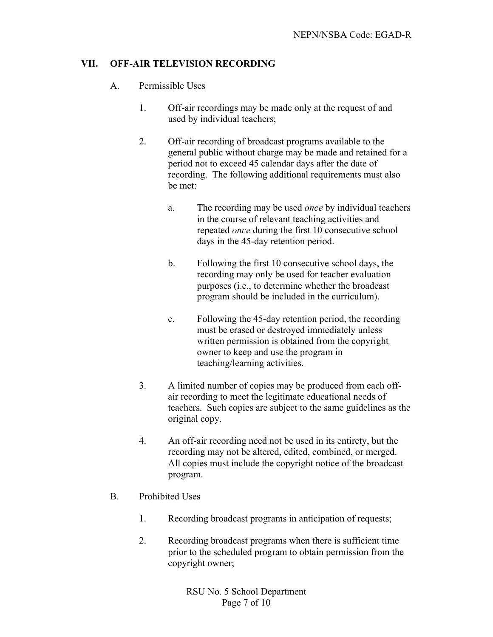# **VII. OFF-AIR TELEVISION RECORDING**

- A. Permissible Uses
	- 1. Off-air recordings may be made only at the request of and used by individual teachers;
	- 2. Off-air recording of broadcast programs available to the general public without charge may be made and retained for a period not to exceed 45 calendar days after the date of recording. The following additional requirements must also be met:
		- a. The recording may be used *once* by individual teachers in the course of relevant teaching activities and repeated *once* during the first 10 consecutive school days in the 45-day retention period.
		- b. Following the first 10 consecutive school days, the recording may only be used for teacher evaluation purposes (i.e., to determine whether the broadcast program should be included in the curriculum).
		- c. Following the 45-day retention period, the recording must be erased or destroyed immediately unless written permission is obtained from the copyright owner to keep and use the program in teaching/learning activities.
	- 3. A limited number of copies may be produced from each offair recording to meet the legitimate educational needs of teachers. Such copies are subject to the same guidelines as the original copy.
	- 4. An off-air recording need not be used in its entirety, but the recording may not be altered, edited, combined, or merged. All copies must include the copyright notice of the broadcast program.
- B. Prohibited Uses
	- 1. Recording broadcast programs in anticipation of requests;
	- 2. Recording broadcast programs when there is sufficient time prior to the scheduled program to obtain permission from the copyright owner;

RSU No. 5 School Department Page 7 of 10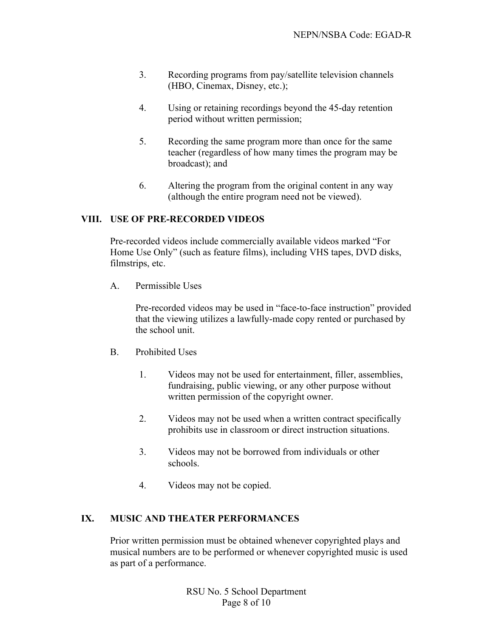- 3. Recording programs from pay/satellite television channels (HBO, Cinemax, Disney, etc.);
- 4. Using or retaining recordings beyond the 45-day retention period without written permission;
- 5. Recording the same program more than once for the same teacher (regardless of how many times the program may be broadcast); and
- 6. Altering the program from the original content in any way (although the entire program need not be viewed).

# **VIII. USE OF PRE-RECORDED VIDEOS**

Pre-recorded videos include commercially available videos marked "For Home Use Only" (such as feature films), including VHS tapes, DVD disks, filmstrips, etc.

A. Permissible Uses

Pre-recorded videos may be used in "face-to-face instruction" provided that the viewing utilizes a lawfully-made copy rented or purchased by the school unit.

- B. Prohibited Uses
	- 1. Videos may not be used for entertainment, filler, assemblies, fundraising, public viewing, or any other purpose without written permission of the copyright owner.
	- 2. Videos may not be used when a written contract specifically prohibits use in classroom or direct instruction situations.
	- 3. Videos may not be borrowed from individuals or other schools.
	- 4. Videos may not be copied.

# **IX. MUSIC AND THEATER PERFORMANCES**

Prior written permission must be obtained whenever copyrighted plays and musical numbers are to be performed or whenever copyrighted music is used as part of a performance.

> RSU No. 5 School Department Page 8 of 10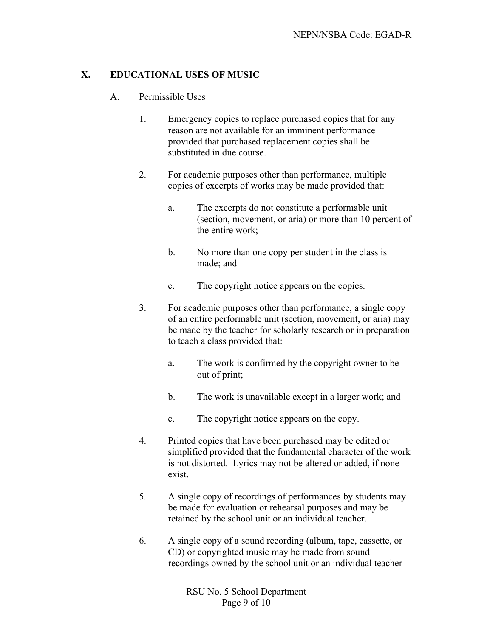# **X. EDUCATIONAL USES OF MUSIC**

- A. Permissible Uses
	- 1. Emergency copies to replace purchased copies that for any reason are not available for an imminent performance provided that purchased replacement copies shall be substituted in due course.
	- 2. For academic purposes other than performance, multiple copies of excerpts of works may be made provided that:
		- a. The excerpts do not constitute a performable unit (section, movement, or aria) or more than 10 percent of the entire work;
		- b. No more than one copy per student in the class is made; and
		- c. The copyright notice appears on the copies.
	- 3. For academic purposes other than performance, a single copy of an entire performable unit (section, movement, or aria) may be made by the teacher for scholarly research or in preparation to teach a class provided that:
		- a. The work is confirmed by the copyright owner to be out of print;
		- b. The work is unavailable except in a larger work; and
		- c. The copyright notice appears on the copy.
	- 4. Printed copies that have been purchased may be edited or simplified provided that the fundamental character of the work is not distorted. Lyrics may not be altered or added, if none exist.
	- 5. A single copy of recordings of performances by students may be made for evaluation or rehearsal purposes and may be retained by the school unit or an individual teacher.
	- 6. A single copy of a sound recording (album, tape, cassette, or CD) or copyrighted music may be made from sound recordings owned by the school unit or an individual teacher

RSU No. 5 School Department Page 9 of 10